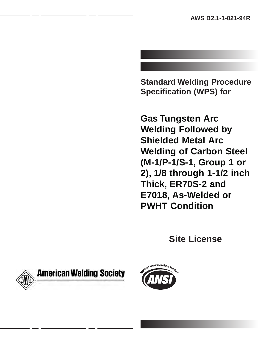**Standard Welding Procedure Specification (WPS) for**

**Gas Tungsten Arc Welding Followed by Shielded Metal Arc Welding of Carbon Steel (M-1/P-1/S-1, Group 1 or 2), 1/8 through 1-1/2 inch Thick, ER70S-2 and E7018, As-Welded or PWHT Condition**

**Site License**



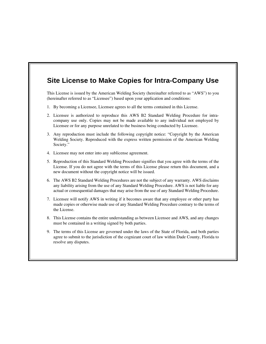### **Site License to Make Copies for Intra-Company Use**

This License is issued by the American Welding Society (hereinafter referred to as "AWS") to you (hereinafter referred to as "Licensee") based upon your application and conditions:

- 1. By becoming a Licensee, Licensee agrees to all the terms contained in this License.
- 2. Licensee is authorized to reproduce this AWS B2 Standard Welding Procedure for intracompany use only. Copies may not be made available to any individual not employed by Licensee or for any purpose unrelated to the business being conducted by Licensee.
- 3. Any reproduction must include the following copyright notice: "Copyright by the American Welding Society. Reproduced with the express written permission of the American Welding Society."
- 4. Licensee may not enter into any sublicense agreement.
- 5. Reproduction of this Standard Welding Procedure signifies that you agree with the terms of the License. If you do not agree with the terms of this License please return this document, and a new document without the copyright notice will be issued.
- 6. The AWS B2 Standard Welding Procedures are not the subject of any warranty. AWS disclaims any liability arising from the use of any Standard Welding Procedure. AWS is not liable for any actual or consequential damages that may arise from the use of any Standard Welding Procedure.
- 7. Licensee will notify AWS in writing if it becomes aware that any employee or other party has made copies or otherwise made use of any Standard Welding Procedure contrary to the terms of the License.
- 8. This License contains the entire understanding as between Licensee and AWS, and any changes must be contained in a writing signed by both parties.
- 9. The terms of this License are governed under the laws of the State of Florida, and both parties agree to submit to the jurisdiction of the cognizant court of law within Dade County, Florida to resolve any disputes.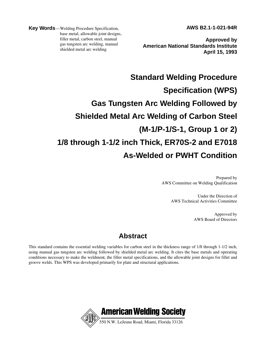**AWS B2.1-1-021-94R**

**Key Words**—Welding Procedure Specification, base metal, allowable joint designs, filler metal, carbon steel, manual gas tungsten arc welding, manual shielded metal arc welding

**Approved by American National Standards Institute April 15, 1993**

# **Standard Welding Procedure Specification (WPS) Gas Tungsten Arc Welding Followed by Shielded Metal Arc Welding of Carbon Steel (M-1/P-1/S-1, Group 1 or 2) 1/8 through 1-1/2 inch Thick, ER70S-2 and E7018 As-Welded or PWHT Condition**

Prepared by AWS Committee on Welding Qualification

> Under the Direction of AWS Technical Activities Committee

> > Approved by AWS Board of Directors

### **Abstract**

This standard contains the essential welding variables for carbon steel in the thickness range of 1/8 through 1-1/2 inch, using manual gas tungsten arc welding followed by shielded metal arc welding. It cites the base metals and operating conditions necessary to make the weldment, the filler metal specifications, and the allowable joint designs for fillet and groove welds. This WPS was developed primarily for plate and structural applications.